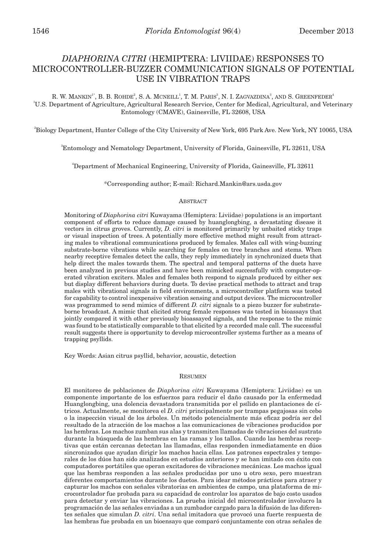# *DIAPHORINA CITRI* (HEMIPTERA: LIVIIDAE) RESPONSES TO MICROCONTROLLER-BUZZER COMMUNICATION SIGNALS OF POTENTIAL USE IN VIBRATION TRAPS

R. W. MANKIN<sup>1</sup>", B. B. ROHDE<sup>2</sup>, S. A. MCNEILL<sup>1</sup>, T. M. PARIS<sup>3</sup>, N. I. ZAGVAZDINA<sup>3</sup>, AND S. GREENFEDER<sup>4</sup> <sup>1</sup>U.S. Department of Agriculture, Agricultural Research Service, Center for Medical, Agricultural, and Veterinary Entomology (CMAVE), Gainesville, FL 32608, USA

2 Biology Department, Hunter College of the City University of New York, 695 Park Ave. New York, NY 10065, USA

3 Entomology and Nematology Department, University of Florida, Gainesville, FL 32611, USA

4 Department of Mechanical Engineering, University of Florida, Gainesville, FL 32611

\*Corresponding author; E-mail: Richard.Mankin@ars.usda.gov

#### **ABSTRACT**

Monitoring of *Diaphorina citri* Kuwayama (Hemiptera: Liviidae) populations is an important component of efforts to reduce damage caused by huanglongbing, a devastating disease it vectors in citrus groves. Currently, *D. citri* is monitored primarily by unbaited sticky traps or visual inspection of trees. A potentially more effective method might result from attracting males to vibrational communications produced by females. Males call with wing-buzzing substrate-borne vibrations while searching for females on tree branches and stems. When nearby receptive females detect the calls, they reply immediately in synchronized duets that help direct the males towards them. The spectral and temporal patterns of the duets have been analyzed in previous studies and have been mimicked successfully with computer-operated vibration exciters. Males and females both respond to signals produced by either sex but display different behaviors during duets. To devise practical methods to attract and trap males with vibrational signals in field environments, a microcontroller platform was tested for capability to control inexpensive vibration sensing and output devices. The microcontroller was programmed to send mimics of different *D. citri* signals to a piezo buzzer for substrateborne broadcast. A mimic that elicited strong female responses was tested in bioassays that jointly compared it with other previously bioassayed signals, and the response to the mimic was found to be statistically comparable to that elicited by a recorded male call. The successful result suggests there is opportunity to develop microcontroller systems further as a means of trapping psyllids.

Key Words: Asian citrus psyllid, behavior, acoustic, detection

# Resumen

El monitoreo de poblaciones de *Diaphorina citri* Kuwayama (Hemiptera: Liviidae) es un componente importante de los esfuerzos para reducir el daño causado por la enfermedad Huanglongbing, una dolencia devastadora transmitida por el psílido en plantaciones de cítricos. Actualmente, se monitorea el *D. citri* principalmente por trampas pegajosas sin cebo o la inspección visual de los árboles. Un método potencialmente más eficaz podría ser del resultado de la atracción de los machos a las comunicaciones de vibraciones producidos por las hembras. Los machos zumban sus alas y transmiten llamadas de vibraciones del sustrato durante la búsqueda de las hembras en las ramas y los tallos. Cuando las hembras receptivas que están cercanas detectan las llamadas, ellas responden inmediatamente en dúos sincronizados que ayudan dirigir los machos hacia ellas. Los patrones espectrales y temporales de los dúos han sido analizados en estudios anteriores y se han imitado con éxito con computadores portátiles que operan excitadores de vibraciones mecánicas. Los machos igual que las hembras responden a las señales producidas por uno u otro sexo, pero muestran diferentes comportamientos durante los duetos. Para idear métodos prácticos para atraer y capturar los machos con señales vibratorias en ambientes de campo, una plataforma de microcontrolador fue probada para su capacidad de controlar los aparatos de bajo costo usados para detectar y enviar las vibraciones. La prueba inicial del microcontrolador involucro la programación de las señales enviadas a un zumbador cargado para la difusión de las diferentes señales que simulan *D. citri*. Una señal imitadora que provocó una fuerte respuesta de las hembras fue probada en un bioensayo que comparó conjuntamente con otras señales de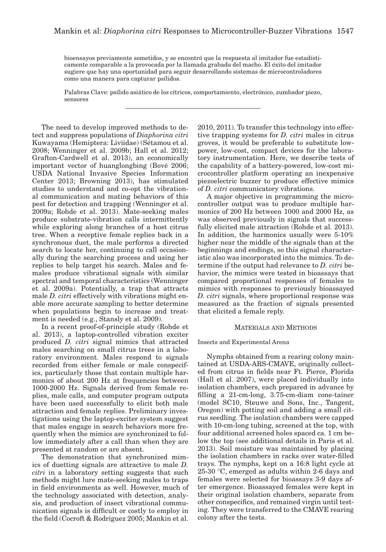bioensayos previamente sometidos, y se encontró que la respuesta al imitador fue estadísticamente comparable a la provocada por la llamada grabada del macho. El éxito del imitador sugiere que hay una oportunidad para seguir desarrollando sistemas de microcontroladores como una manera para capturar psílidos.

Palabras Clave: psílido asiático de los cítricos, comportamiento, electrónico, zumbador piezo, sensores

The need to develop improved methods to detect and suppress populations of *Diaphorina citri* Kuwayama (Hemiptera: Liviidae) (Sétamou et al. 2008; Wenninger et al. 2009b; Hall et al. 2012; Grafton-Cardwell et al. 2013), an economically important vector of huanglongbing (Bové 2006; USDA National Invasive Species Information Center 2013; Browning 2013), has stimulated studies to understand and co-opt the vibrational communication and mating behaviors of this pest for detection and trapping (Wenninger et al. 2009a; Rohde et al. 2013). Mate-seeking males produce substrate-vibration calls intermittently while exploring along branches of a host citrus tree. When a receptive female replies back in a synchronous duet, the male performs a directed search to locate her, continuing to call occasionally during the searching process and using her replies to help target his search. Males and females produce vibrational signals with similar spectral and temporal characteristics (Wenninger et al. 2009a). Potentially, a trap that attracts male *D. citri* effectively with vibrations might enable more accurate sampling to better determine when populations begin to increase and treatment is needed (e.g., Stansly et al. 2009).

In a recent proof-of-principle study (Rohde et al. 2013), a laptop-controlled vibration exciter produced *D. citri* signal mimics that attracted males searching on small citrus trees in a laboratory environment. Males respond to signals recorded from either female or male conspecifics, particularly those that contain multiple harmonics of about 200 Hz at frequencies between 1000-2000 Hz. Signals derived from female replies, male calls, and computer program outputs have been used successfully to elicit both male attraction and female replies. Preliminary investigations using the laptop-exciter system suggest that males engage in search behaviors more frequently when the mimics are synchronized to follow immediately after a call than when they are presented at random or are absent.

The demonstration that synchronized mimics of duetting signals are attractive to male *D. citri* in a laboratory setting suggests that such methods might lure mate-seeking males to traps in field environments as well. However, much of the technology associated with detection, analysis, and production of insect vibrational communication signals is difficult or costly to employ in the field (Cocroft & Rodriguez 2005; Mankin et al.

2010, 2011). To transfer this technology into effective trapping systems for *D. citri* males in citrus groves, it would be preferable to substitute lowpower, low-cost, compact devices for the laboratory instrumentation. Here, we describe tests of the capability of a battery-powered, low-cost microcontroller platform operating an inexpensive piezoelectric buzzer to produce effective mimics of *D. citri* communicatory vibrations.

A major objective in programming the microcontroller output was to produce multiple harmonics of 200 Hz between 1000 and 2000 Hz, as was observed previously in signals that successfully elicited male attraction (Rohde et al. 2013). In addition, the harmonics usually were 5-10% higher near the middle of the signals than at the beginnings and endings, so this signal characteristic also was incorporated into the mimics. To determine if the output had relevance to *D. citri* behavior, the mimics were tested in bioassays that compared proportional responses of females to mimics with responses to previously bioassayed *D. citri* signals, where proportional response was measured as the fraction of signals presented that elicited a female reply.

#### Materials and Methods

# Insects and Experimental Arena

Nymphs obtained from a rearing colony maintained at USDA-ARS-CMAVE, originally collected from citrus in fields near Ft. Pierce, Florida (Hall et al. 2007), were placed individually into isolation chambers, each prepared in advance by filling a 21-cm-long, 3.75-cm-diam cone-tainer (model SC10, Steuwe and Sons, Inc., Tangent, Oregon) with potting soil and adding a small citrus seedling. The isolation chambers were capped with 10-cm-long tubing, screened at the top, with four additional screened holes spaced ca. 1 cm below the top (see additional details in Paris et al. 2013). Soil moisture was maintained by placing the isolation chambers in racks over water-filled trays. The nymphs, kept on a 16:8 light cycle at 25-30 °C, emerged as adults within 2-6 days and females were selected for bioassays 3-9 days after emergence. Bioassayed females were kept in their original isolation chambers, separate from other conspecifics, and remained virgin until testing. They were transferred to the CMAVE rearing colony after the tests.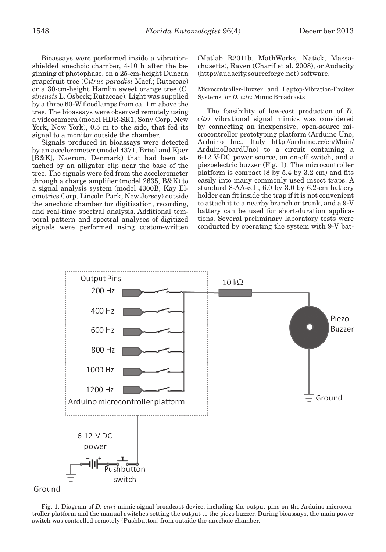Bioassays were performed inside a vibrationshielded anechoic chamber, 4-10 h after the beginning of photophase, on a 25-cm-height Duncan grapefruit tree (C*itrus paradisi* Macf.; Rutaceae) or a 30-cm-height Hamlin sweet orange tree (*C. sinensis* L. Osbeck; Rutaceae). Light was supplied by a three 60-W floodlamps from ca. 1 m above the tree. The bioassays were observed remotely using a videocamera (model HDR-SR1, Sony Corp. New York, New York), 0.5 m to the side, that fed its signal to a monitor outside the chamber.

Signals produced in bioassays were detected by an accelerometer (model 4371, Brüel and Kjær [B&K], Naerum, Denmark) that had been attached by an alligator clip near the base of the tree. The signals were fed from the accelerometer through a charge amplifier (model 2635, B&K) to a signal analysis system (model 4300B, Kay Elemetrics Corp, Lincoln Park, New Jersey) outside the anechoic chamber for digitization, recording, and real-time spectral analysis. Additional temporal pattern and spectral analyses of digitized signals were performed using custom-written (Matlab R2011b, MathWorks, Natick, Massachusetts), Raven (Charif et al. 2008), or Audacity (http://audacity.sourceforge.net) software.

Microcontroller-Buzzer and Laptop-Vibration-Exciter Systems for *D. citri* Mimic Broadcasts

The feasibility of low-cost production of *D. citri* vibrational signal mimics was considered by connecting an inexpensive, open-source microcontroller prototyping platform (Arduino Uno, Arduino Inc., Italy http://arduino.cc/en/Main/ ArduinoBoardUno) to a circuit containing a 6-12 V-DC power source, an on-off switch, and a piezoelectric buzzer (Fig. 1). The microcontroller platform is compact (8 by 5.4 by 3.2 cm) and fits easily into many commonly used insect traps. A standard 8-AA-cell, 6.0 by 3.0 by 6.2-cm battery holder can fit inside the trap if it is not convenient to attach it to a nearby branch or trunk, and a 9-V battery can be used for short-duration applications. Several preliminary laboratory tests were conducted by operating the system with 9-V bat-





Fig. 1. Diagram of *D. citri* mimic-signal broadcast device, including the output pins on the Arduino microcontroller platform and the manual switches setting the output to the piezo buzzer. During bioassays, the main power switch was controlled remotely (Pushbutton) from outside the anechoic chamber.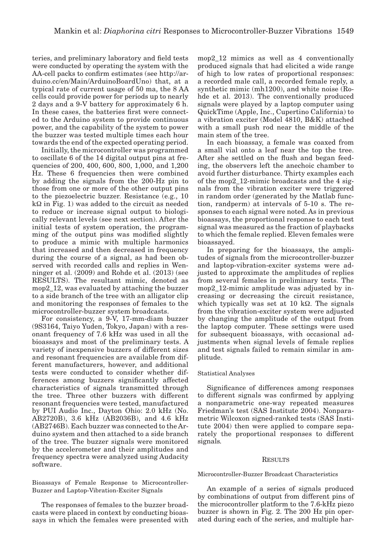teries, and preliminary laboratory and field tests were conducted by operating the system with the AA-cell packs to confirm estimates (see http://arduino.cc/en/Main/ArduinoBoardUno) that, at a typical rate of current usage of 50 ma, the 8 AA cells could provide power for periods up to nearly 2 days and a 9-V battery for approximately 6 h. In these cases, the batteries first were connected to the Arduino system to provide continuous power, and the capability of the system to power the buzzer was tested multiple times each hour towards the end of the expected operating period.

Initially, the microcontroller was programmed to oscillate 6 of the 14 digital output pins at frequencies of 200, 400, 600, 800, 1,000, and 1,200 Hz. These 6 frequencies then were combined by adding the signals from the 200-Hz pin to those from one or more of the other output pins to the piezoelectric buzzer. Resistance (e.g., 10  $k\Omega$  in Fig. 1) was added to the circuit as needed to reduce or increase signal output to biologically relevant levels (see next section). After the initial tests of system operation, the programming of the output pins was modified slightly to produce a mimic with multiple harmonics that increased and then decreased in frequency during the course of a signal, as had been observed with recorded calls and replies in Wenninger et al. (2009) and Rohde et al. (2013) (see RESULTS). The resultant mimic, denoted as mop2\_12, was evaluated by attaching the buzzer to a side branch of the tree with an alligator clip and monitoring the responses of females to the microcontroller-buzzer system broadcasts.

For consistency, a 9-V, 17-mm-diam buzzer (9S3164, Taiyo Yuden, Tokyo, Japan) with a resonant frequency of 7.6 kHz was used in all the bioassays and most of the preliminary tests. A variety of inexpensive buzzers of different sizes and resonant frequencies are available from different manufacturers, however, and additional tests were conducted to consider whether differences among buzzers significantly affected characteristics of signals transmitted through the tree. Three other buzzers with different resonant frequencies were tested, manufactured by PUI Audio Inc., Dayton Ohio: 2.0 kHz (No. AB2720B), 3.6 kHz (AB2036B), and 4.6 kHz (AB2746B). Each buzzer was connected to the Arduino system and then attached to a side branch of the tree. The buzzer signals were monitored by the accelerometer and their amplitudes and frequency spectra were analyzed using Audacity software.

Bioassays of Female Response to Microcontroller-Buzzer and Laptop-Vibration-Exciter Signals

The responses of females to the buzzer broadcasts were placed in context by conducting bioassays in which the females were presented with mop2\_12 mimics as well as 4 conventionally produced signals that had elicited a wide range of high to low rates of proportional responses: a recorded male call, a recorded female reply, a synthetic mimic (mh1200), and white noise (Rohde et al. 2013). The conventionally produced signals were played by a laptop computer using QuickTime (Apple, Inc., Cupertino California) to a vibration exciter (Model 4810, B&K) attached with a small push rod near the middle of the main stem of the tree.

In each bioassay, a female was coaxed from a small vial onto a leaf near the top the tree. After she settled on the flush and began feeding, the observers left the anechoic chamber to avoid further disturbance. Thirty examples each of the mop2\_12-mimic broadcasts and the 4 signals from the vibration exciter were triggered in random order (generated by the Matlab function, randperm) at intervals of 5-10 s. The responses to each signal were noted. As in previous bioassays, the proportional response to each test signal was measured as the fraction of playbacks to which the female replied. Eleven females were bioassayed.

In preparing for the bioassays, the amplitudes of signals from the microcontroller-buzzer and laptop-vibration-exciter systems were adjusted to approximate the amplitudes of replies from several females in preliminary tests. The mop2\_12-mimic amplitude was adjusted by increasing or decreasing the circuit resistance, which typically was set at 10 kΩ. The signals from the vibration-exciter system were adjusted by changing the amplitude of the output from the laptop computer. These settings were used for subsequent bioassays, with occasional adjustments when signal levels of female replies and test signals failed to remain similar in amplitude.

#### Statistical Analyses

Significance of differences among responses to different signals was confirmed by applying a nonparametric one-way repeated measures Friedman's test (SAS Institute 2004). Nonparametric Wilcoxon signed-ranked tests (SAS Institute 2004) then were applied to compare separately the proportional responses to different signals*.*

#### **RESULTS**

#### Microcontroller-Buzzer Broadcast Characteristics

An example of a series of signals produced by combinations of output from different pins of the microcontroller platform to the 7.6-kHz piezo buzzer is shown in Fig. 2. The 200 Hz pin operated during each of the series, and multiple har-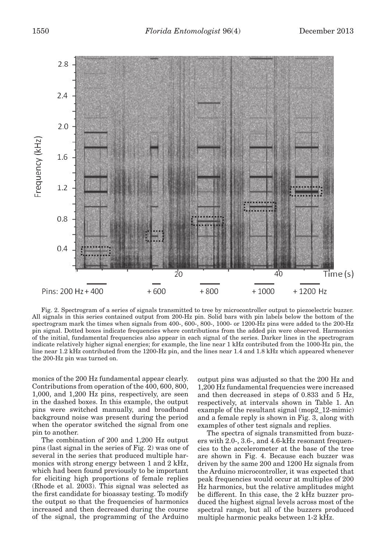

Fig. 2. Spectrogram of a series of signals transmitted to tree by microcontroller output to piezoelectric buzzer. All signals in this series contained output from 200-Hz pin. Solid bars with pin labels below the bottom of the spectrogram mark the times when signals from 400-, 600-, 800-, 1000- or 1200-Hz pins were added to the 200-Hz pin signal. Dotted boxes indicate frequencies where contributions from the added pin were observed. Harmonics of the initial, fundamental frequencies also appear in each signal of the series. Darker lines in the spectrogram indicate relatively higher signal energies; for example, the line near 1 kHz contributed from the 1000-Hz pin, the line near 1.2 kHz contributed from the 1200-Hz pin, and the lines near 1.4 and 1.8 kHz which appeared whenever the 200-Hz pin was turned on.

monics of the 200 Hz fundamental appear clearly. Contributions from operation of the 400, 600, 800, 1,000, and 1,200 Hz pins, respectively, are seen in the dashed boxes. In this example, the output pins were switched manually, and broadband background noise was present during the period when the operator switched the signal from one pin to another.

The combination of 200 and 1,200 Hz output pins (last signal in the series of Fig. 2) was one of several in the series that produced multiple harmonics with strong energy between 1 and 2 kHz, which had been found previously to be important for eliciting high proportions of female replies (Rhode et al. 2003). This signal was selected as the first candidate for bioassay testing. To modify the output so that the frequencies of harmonics increased and then decreased during the course of the signal, the programming of the Arduino output pins was adjusted so that the 200 Hz and 1,200 Hz fundamental frequencies were increased and then decreased in steps of 0.833 and 5 Hz, respectively, at intervals shown in Table 1. An example of the resultant signal (mop2\_12-mimic) and a female reply is shown in Fig. 3, along with examples of other test signals and replies.

The spectra of signals transmitted from buzzers with 2.0-, 3.6-, and 4.6-kHz resonant frequencies to the accelerometer at the base of the tree are shown in Fig. 4. Because each buzzer was driven by the same 200 and 1200 Hz signals from the Arduino microcontroller, it was expected that peak frequencies would occur at multiples of 200 Hz harmonics, but the relative amplitudes might be different. In this case, the 2 kHz buzzer produced the highest signal levels across most of the spectral range, but all of the buzzers produced multiple harmonic peaks between 1-2 kHz.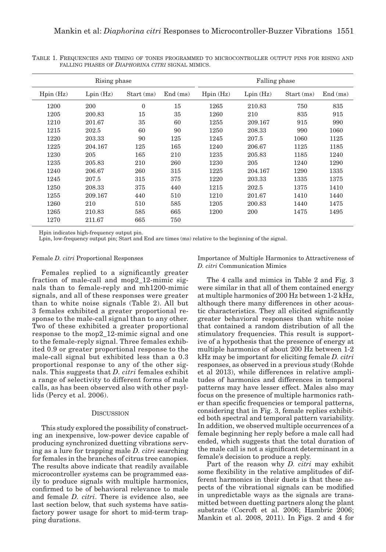| Rising phase |          |              |         | Falling phase |          |            |         |
|--------------|----------|--------------|---------|---------------|----------|------------|---------|
| Hpin(Hz)     | Lpin(Hz) | Start (ms)   | End(ms) | Hpin(Hz)      | Lpin(Hz) | Start (ms) | End(ms) |
| 1200         | 200      | $\mathbf{0}$ | 15      | 1265          | 210.83   | 750        | 835     |
| 1205         | 200.83   | 15           | 35      | 1260          | 210      | 835        | 915     |
| 1210         | 201.67   | 35           | 60      | 1255          | 209.167  | 915        | 990     |
| 1215         | 202.5    | 60           | 90      | 1250          | 208.33   | 990        | 1060    |
| 1220         | 203.33   | 90           | 125     | 1245          | 207.5    | 1060       | 1125    |
| 1225         | 204.167  | 125          | 165     | 1240          | 206.67   | 1125       | 1185    |
| 1230         | 205      | 165          | 210     | 1235          | 205.83   | 1185       | 1240    |
| 1235         | 205.83   | 210          | 260     | 1230          | 205      | 1240       | 1290    |
| 1240         | 206.67   | 260          | 315     | 1225          | 204.167  | 1290       | 1335    |
| 1245         | 207.5    | 315          | 375     | 1220          | 203.33   | 1335       | 1375    |
| 1250         | 208.33   | 375          | 440     | 1215          | 202.5    | 1375       | 1410    |
| 1255         | 209.167  | 440          | 510     | 1210          | 201.67   | 1410       | 1440    |
| 1260         | 210      | 510          | 585     | 1205          | 200.83   | 1440       | 1475    |
| 1265         | 210.83   | 585          | 665     | 1200          | 200      | 1475       | 1495    |
| 1270         | 211.67   | 665          | 750     |               |          |            |         |

Table 1. Frequencies and timing of tones programmed to microcontroller output pins for rising and falling phases of *Diaphorina citri* signal mimics.

Hpin indicates high-frequency output pin.

Lpin, low-frequency output pin; Start and End are times (ms) relative to the beginning of the signal.

## Female *D. citri* Proportional Responses

Females replied to a significantly greater fraction of male-call and mop2\_12-mimic signals than to female-reply and mh1200-mimic signals, and all of these responses were greater than to white noise signals (Table 2). All but 3 females exhibited a greater proportional response to the male-call signal than to any other. Two of these exhibited a greater proportional response to the mop2\_12-mimic signal and one to the female-reply signal. Three females exhibited 0.9 or greater proportional response to the male-call signal but exhibited less than a 0.3 proportional response to any of the other signals. This suggests that *D. citri* females exhibit a range of selectivity to different forms of male calls, as has been observed also with other psyllids (Percy et al. 2006).

#### **DISCUSSION**

This study explored the possibility of constructing an inexpensive, low-power device capable of producing synchronized duetting vibrations serving as a lure for trapping male *D. citri* searching for females in the branches of citrus tree canopies. The results above indicate that readily available microcontroller systems can be programmed easily to produce signals with multiple harmonics, confirmed to be of behavioral relevance to male and female *D. citri*. There is evidence also, see last section below, that such systems have satisfactory power usage for short to mid-term trapping durations.

Importance of Multiple Harmonics to Attractiveness of *D. citri* Communication Mimics

The 4 calls and mimics in Table 2 and Fig. 3 were similar in that all of them contained energy at multiple harmonics of 200 Hz between 1-2 kHz, although there many differences in other acoustic characteristics. They all elicited significantly greater behavioral responses than white noise that contained a random distribution of all the stimulatory frequencies. This result is supportive of a hypothesis that the presence of energy at multiple harmonics of about 200 Hz between 1-2 kHz may be important for eliciting female *D. citri* responses, as observed in a previous study (Rohde et al 2013), while differences in relative amplitudes of harmonics and differences in temporal patterns may have lesser effect. Males also may focus on the presence of multiple harmonics rather than specific frequencies or temporal patterns, considering that in Fig. 3, female replies exhibited both spectral and temporal pattern variability. In addition, we observed multiple occurrences of a female beginning her reply before a male call had ended, which suggests that the total duration of the male call is not a significant determinant in a female's decision to produce a reply.

Part of the reason why *D. citri* may exhibit some flexibility in the relative amplitudes of different harmonics in their duets is that these aspects of the vibrational signals can be modified in unpredictable ways as the signals are transmitted between duetting partners along the plant substrate (Cocroft et al. 2006; Hambric 2006; Mankin et al. 2008, 2011). In Figs. 2 and 4 for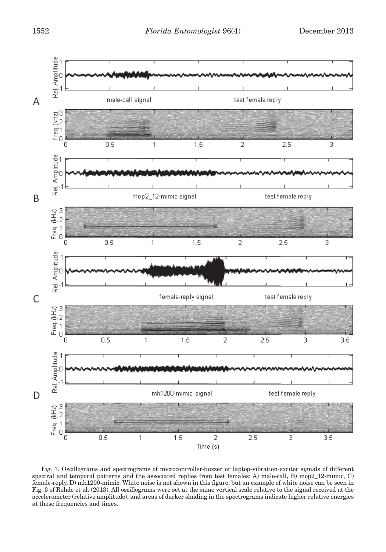

Fig. 3. Oscillograms and spectrograms of microcontroller-buzzer or laptop-vibration-exciter signals of different spectral and temporal patterns and the associated replies from test females: A) male-call, B) mop2\_12-mimic, C) female-reply, D) mh1200-mimic. White noise is not shown in this figure, but an example of white noise can be seen in Fig. 3 of Rohde et al. (2013). All oscillograms were set at the same vertical scale relative to the signal received at the accelerometer (relative amplitude), and areas of darker shading in the spectrograms indicate higher relative energies at those frequencies and times.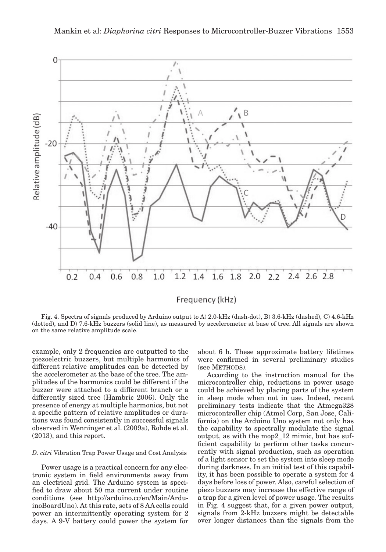

Fig. 4. Spectra of signals produced by Arduino output to A) 2.0-kHz (dash-dot), B) 3.6-kHz (dashed), C) 4.6-kHz (dotted), and D) 7.6-kHz buzzers (solid line), as measured by accelerometer at base of tree. All signals are shown on the same relative amplitude scale.

example, only 2 frequencies are outputted to the piezoelectric buzzers, but multiple harmonics of different relative amplitudes can be detected by the accelerometer at the base of the tree. The amplitudes of the harmonics could be different if the buzzer were attached to a different branch or a differently sized tree (Hambric 2006). Only the presence of energy at multiple harmonics, but not a specific pattern of relative amplitudes or durations was found consistently in successful signals observed in Wenninger et al. (2009a), Rohde et al. (2013), and this report.

# *D. citri* Vibration Trap Power Usage and Cost Analysis

Power usage is a practical concern for any electronic system in field environments away from an electrical grid. The Arduino system is specified to draw about 50 ma current under routine conditions (see http://arduino.cc/en/Main/ArduinoBoardUno). At this rate, sets of 8 AA cells could power an intermittently operating system for 2 days. A 9-V battery could power the system for

about 6 h. These approximate battery lifetimes were confirmed in several preliminary studies (see METHODS).

According to the instruction manual for the microcontroller chip, reductions in power usage could be achieved by placing parts of the system in sleep mode when not in use. Indeed, recent preliminary tests indicate that the Atmega328 microcontroller chip (Atmel Corp, San Jose, California) on the Arduino Uno system not only has the capability to spectrally modulate the signal output, as with the mop2\_12 mimic, but has sufficient capability to perform other tasks concurrently with signal production, such as operation of a light sensor to set the system into sleep mode during darkness. In an initial test of this capability, it has been possible to operate a system for 4 days before loss of power. Also, careful selection of piezo buzzers may increase the effective range of a trap for a given level of power usage. The results in Fig. 4 suggest that, for a given power output, signals from 2-kHz buzzers might be detectable over longer distances than the signals from the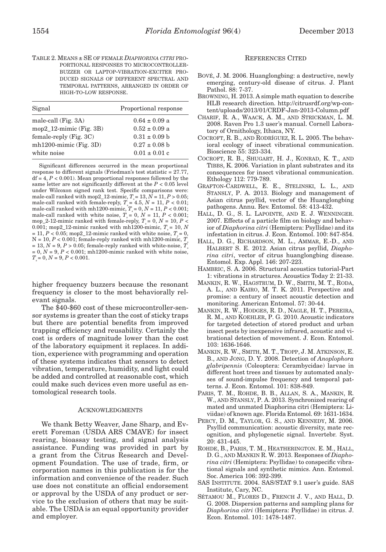Table 2. Means ± se of female *Diaphorina citri* proportional responses to microcontrollerbuzzer or laptop-vibration-exciter produced signals of different spectral and temporal patterns, arranged in order of high-to-low response.

| Signal                     | Proportional response |
|----------------------------|-----------------------|
| male-call (Fig. 3A)        | $0.64 \pm 0.09$ a     |
| $mop2_12$ -mimic (Fig. 3B) | $0.52 \pm 0.09$ a     |
| female-reply $(Fig. 3C)$   | $0.31 \pm 0.09$ b     |
| $mh1200$ -mimic (Fig. 3D)  | $0.27 \pm 0.08$ b     |
| white noise                | $0.01 \pm 0.01$ c     |
|                            |                       |

Significant differences occurred in the mean proportional response to different signals (Friedman's test statistic = 27.77, df = 4, *P* < 0.001). Mean proportional responses followed by the same letter are not significantly different at the  $P < 0.05$  level under Wilcoxon signed rank test. Specific comparisons were: male-call ranked with mop2\_12-mimic,  $T = 13$ ,  $\overline{N} = 11$ ,  $P > 0.05$ ; male-call ranked with female-reply,  $T_s = 4.5$ ,  $N = 11$ ,  $P < 0.01$ ; male-call ranked with mh1200-mimic,  $T_s = 0$ ,  $N = 11$ ,  $P < 0.001$ ; male-call ranked with white noise,  $T = 0$ ,  $N = 11$ ,  $P < 0.001$ ; mop\_2-12-mimic ranked with female-reply,  $T_s = 0$ ,  $N = 10$ ,  $P <$ 0.001; mop2\_12-mimic ranked with mh1200-mimic,  $T_s = 10$ , *N*  $= 11, P < 0.05$ ; mop2\_12-mimic ranked with white noise,  $T = 0$ ,  $N = 10, P < 0.001$ ; female-reply ranked with mh1200-mimic,  $T_s$  $= 13, N = 9, P > 0.05$ ; female-reply ranked with white-noise,  $T_s$  $= 0, N = 9, P < 0.001$ ; mh1200-mimic ranked with white noise,  $T_s = 0, N = 9, P < 0.001.$ 

higher frequency buzzers because the resonant frequency is closer to the most behaviorally relevant signals.

The \$40-\$60 cost of these microcontroller-sensor systems is greater than the cost of sticky traps but there are potential benefits from improved trapping efficiency and reusability. Certainly the cost is orders of magnitude lower than the cost of the laboratory equipment it replaces. In addition, experience with programming and operation of these systems indicates that sensors to detect vibration, temperature, humidity, and light could be added and controlled at reasonable cost, which could make such devices even more useful as entomological research tools.

#### **ACKNOWLEDGMENTS**

We thank Betty Weaver, Jane Sharp, and Everett Foreman (USDA ARS CMAVE) for insect rearing, bioassay testing, and signal analysis assistance. Funding was provided in part by a grant from the Citrus Research and Development Foundation. The use of trade, firm, or corporation names in this publication is for the information and convenience of the reader. Such use does not constitute an official endorsement or approval by the USDA of any product or service to the exclusion of others that may be suitable. The USDA is an equal opportunity provider and employer.

#### References Cited

- Bové, J. M. 2006. Huanglongbing: a destructive, newly emerging, century-old disease of citrus. J. Plant Pathol. 88: 7-37.
- Browning, H. 2013. A simple math equation to describe HLB research direction. http://citrusrdf.org/wp-content/uploads/2013/01/CRDF-Jan-2013-Column.pdf
- Charif, R. A., Waack, A. M., and Strickman, L. M. 2008. Raven Pro 1.3 user's manual. Cornell Laboratory of Ornithology, Ithaca, NY.
- Cocroft, R. B., and Rodríguez, R. L. 2005. The behavioral ecology of insect vibrational communication. Bioscience 55: 323-334.
- Cocroft, R. B., Shugart, H. J., Konrad, K. T., and Tibbs, K. 2006. Variation in plant substrates and its consequences for insect vibrational communication. Ethology 112: 779-789.
- Grafton-Cardwell, E. E., Stelinski, L. L., and Stansly, P. A. 2013. Biology and management of Asian citrus psyllid, vector of the Huanglongbing pathogens. Annu. Rev. Entomol. 58: 413-432.
- Hall, D. G., S. L. Lapointe, and E. J. Wenninger. 2007. Effects of a particle film on biology and behavior of *Diaphorina citri* (Hemiptera: Psyllidae) and its infestation in citrus. J. Econ. Entomol. 100: 847-854.
- Hall, D. G., Richardson, M. L., Ammar, E.-D., and Halbert S. E. 2012. Asian citrus psyllid, *Diaphorina citri*, vector of citrus huanglongbing disease. Entomol. Exp. Appl. 146: 207-223.
- HAMBRIC, S. A. 2006. Structural acoustics tutorial-Part 1: vibrations in structures. Acoustics Today 2: 21-33.
- Mankin, R. W., Hagstrum, D. W., Smith, M. T., Roda, A. L., and Kairo, M. T. K. 2011. Perspective and promise: a century of insect acoustic detection and monitoring. American Entomol. 57: 30-44.
- Mankin, R. W., Hodges, R. D., Nagle, H. T., Pereira, R. M., and Koehler, P. G. 2010. Acoustic indicators for targeted detection of stored product and urban insect pests by inexpensive infrared, acoustic and vibrational detection of movement. J. Econ. Entomol. 103: 1636-1646.
- Mankin, R. W., Smith, M. T., Tropp, J. M. Atkinson, E. B., and Jong, D. Y. 2008. Detection of *Anoplophora glabripennis* (Coleoptera: Cerambycidae) larvae in different host trees and tissues by automated analyses of sound-impulse frequency and temporal patterns. J. Econ. Entomol. 101: 838-849.
- Paris, T. M., Rohde, B. B., Allan, S. A., Mankin, R. W., and Stansly, P. A. 2013. Synchronized rearing of mated and unmated Diaphorina citri (Hemiptera: Liviidae) of known age. Florida Entomol. 69: 1631-1634.
- PERCY, D. M., TAYLOR, G. S., AND KENNEDY, M. 2006. Psyllid communication: acoustic diversity, mate recognition, and phylogenetic signal. Invertebr. Syst. 20: 431-445.
- Rohde, B., Paris, T. M., Heatherington. E. M., Hall, D. G., and Mankin R. W. 2013. Responses of *Diaphorina citri* (Hemiptera: Psyllidae) to conspecific vibrational signals and synthetic mimics. Ann. Entomol. Soc. America 106: 392-399.
- SAS Institute. 2004. SAS/STAT 9.1 user's guide. SAS Institute, Cary, NC.
- Sétamou M., Flores D., French J. V., and Hall, D. G. 2008. Dispersion patterns and sampling plans for *Diaphorina citri* (Hemiptera: Psyllidae) in citrus. J. Econ. Entomol. 101: 1478-1487.